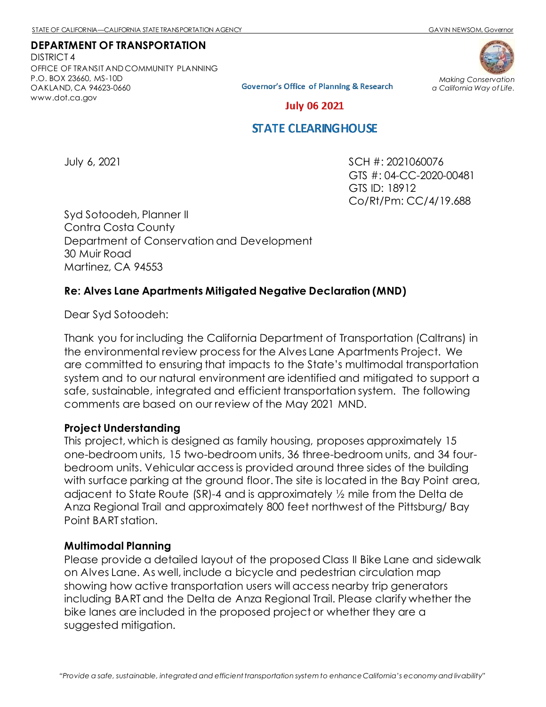*a California Way of Life.*

### **DEPARTMENT OF TRANSPORTATION**

DISTRICT 4 OFFICE OF TRANSIT AND COMMUNITY PLANNING P.O. BOX 23660, MS-10D OAKLAND, CA 94623-0660 [www.dot.ca.gov](http://www.dot.ca.gov/)



**Governor's Office of Planning & Research** 

**July 06 2021** 

# **STATE CLEARING HOUSE**

July 6, 2021 SCH #: 2021060076 GTS #: 04-CC-2020-00481 GTS ID: 18912 Co/Rt/Pm: CC/4/19.688

Syd Sotoodeh, Planner II Contra Costa County Department of Conservation and Development 30 Muir Road Martinez, CA 94553

# **Re: Alves Lane Apartments Mitigated Negative Declaration (MND)**

Dear Syd Sotoodeh:

Thank you for including the California Department of Transportation (Caltrans) in the environmental review process for the Alves Lane Apartments Project. We are committed to ensuring that impacts to the State's multimodal transportation system and to our natural environment are identified and mitigated to support a safe, sustainable, integrated and efficient transportation system. The following comments are based on our review of the May 2021 MND.

#### **Project Understanding**

This project, which is designed as family housing, proposes approximately 15 one-bedroom units, 15 two-bedroom units, 36 three-bedroom units, and 34 fourbedroom units. Vehicular access is provided around three sides of the building with surface parking at the ground floor. The site is located in the Bay Point area, adjacent to State Route (SR)-4 and is approximately ½ mile from the Delta de Anza Regional Trail and approximately 800 feet northwest of the Pittsburg/ Bay Point BART station.

#### **Multimodal Planning**

Please provide a detailed layout of the proposed Class II Bike Lane and sidewalk on Alves Lane. As well, include a bicycle and pedestrian circulation map showing how active transportation users will access nearby trip generators including BART and the Delta de Anza Regional Trail. Please clarify whether the bike lanes are included in the proposed project or whether they are a suggested mitigation.